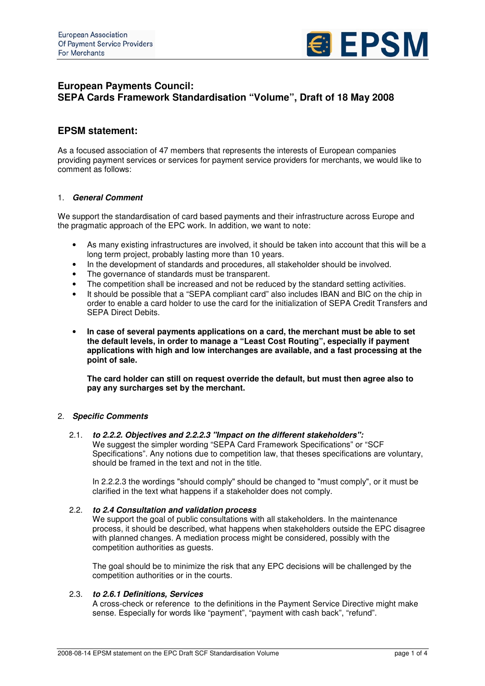

# **European Payments Council: SEPA Cards Framework Standardisation "Volume", Draft of 18 May 2008**

## **EPSM statement:**

As a focused association of 47 members that represents the interests of European companies providing payment services or services for payment service providers for merchants, we would like to comment as follows:

## 1. *General Comment*

We support the standardisation of card based payments and their infrastructure across Europe and the pragmatic approach of the EPC work. In addition, we want to note:

- As many existing infrastructures are involved, it should be taken into account that this will be a long term project, probably lasting more than 10 years.
- In the development of standards and procedures, all stakeholder should be involved.
- The governance of standards must be transparent.
- The competition shall be increased and not be reduced by the standard setting activities.
- It should be possible that a "SEPA compliant card" also includes IBAN and BIC on the chip in order to enable a card holder to use the card for the initialization of SEPA Credit Transfers and SEPA Direct Debits.
- **In case of several payments applications on a card, the merchant must be able to set the default levels, in order to manage a "Least Cost Routing", especially if payment applications with high and low interchanges are available, and a fast processing at the point of sale.**

**The card holder can still on request override the default, but must then agree also to pay any surcharges set by the merchant.**

## 2. *Specific Comments*

2.1. *to 2.2.2. Objectives and 2.2.2.3 "Impact on the different stakeholders":* We suggest the simpler wording "SEPA Card Framework Specifications" or "SCF Specifications". Any notions due to competition law, that theses specifications are voluntary, should be framed in the text and not in the title.

In 2.2.2.3 the wordings "should comply" should be changed to "must comply", or it must be clarified in the text what happens if a stakeholder does not comply.

## 2.2. *to 2.4 Consultation and validation process*

We support the goal of public consultations with all stakeholders. In the maintenance process, it should be described, what happens when stakeholders outside the EPC disagree with planned changes. A mediation process might be considered, possibly with the competition authorities as guests.

The goal should be to minimize the risk that any EPC decisions will be challenged by the competition authorities or in the courts.

## 2.3. *to 2.6.1 Definitions, Services*

A cross-check or reference to the definitions in the Payment Service Directive might make sense. Especially for words like "payment", "payment with cash back", "refund".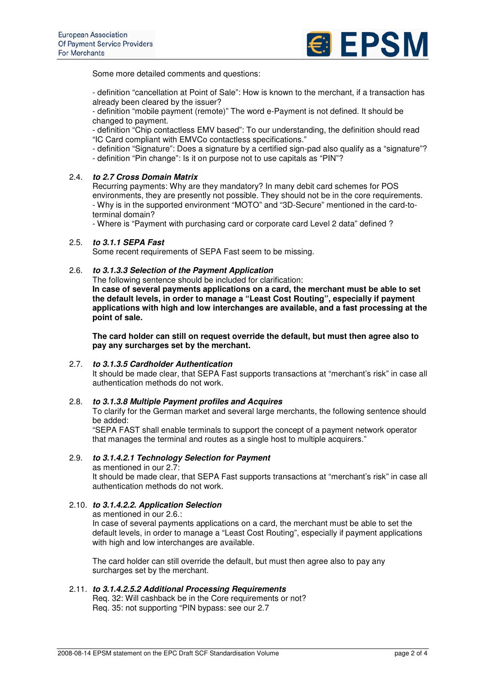

Some more detailed comments and questions:

- definition "cancellation at Point of Sale": How is known to the merchant, if a transaction has already been cleared by the issuer?

- definition "mobile payment (remote)" The word e-Payment is not defined. It should be changed to payment.

- definition "Chip contactless EMV based": To our understanding, the definition should read "IC Card compliant with EMVCo contactless specifications."

- definition "Signature": Does a signature by a certified sign-pad also qualify as a "signature"?

- definition "Pin change": Is it on purpose not to use capitals as "PIN"?

## 2.4. *to 2.7 Cross Domain Matrix*

Recurring payments: Why are they mandatory? In many debit card schemes for POS environments, they are presently not possible. They should not be in the core requirements. - Why is in the supported environment "MOTO" and "3D-Secure" mentioned in the card-toterminal domain?

- Where is "Payment with purchasing card or corporate card Level 2 data" defined ?

## 2.5. *to 3.1.1 SEPA Fast*

Some recent requirements of SEPA Fast seem to be missing.

#### 2.6. *to 3.1.3.3 Selection of the Payment Application*

The following sentence should be included for clarification:

**In case of several payments applications on a card, the merchant must be able to set the default levels, in order to manage a "Least Cost Routing", especially if payment applications with high and low interchanges are available, and a fast processing at the point of sale.**

**The card holder can still on request override the default, but must then agree also to pay any surcharges set by the merchant.**

#### 2.7. *to 3.1.3.5 Cardholder Authentication*

It should be made clear, that SEPA Fast supports transactions at "merchant's risk" in case all authentication methods do not work.

#### 2.8. *to 3.1.3.8 Multiple Payment profiles and Acquires*

To clarify for the German market and several large merchants, the following sentence should be added:

"SEPA FAST shall enable terminals to support the concept of a payment network operator that manages the terminal and routes as a single host to multiple acquirers."

## 2.9. *to 3.1.4.2.1 Technology Selection for Payment*

as mentioned in our 2.7:

It should be made clear, that SEPA Fast supports transactions at "merchant's risk" in case all authentication methods do not work.

## 2.10. *to 3.1.4.2.2. Application Selection*

as mentioned in our 2.6.:

In case of several payments applications on a card, the merchant must be able to set the default levels, in order to manage a "Least Cost Routing", especially if payment applications with high and low interchanges are available.

The card holder can still override the default, but must then agree also to pay any surcharges set by the merchant.

# 2.11. *to 3.1.4.2.5.2 Additional Processing Requirements*

Req. 32: Will cashback be in the Core requirements or not? Req. 35: not supporting "PIN bypass: see our 2.7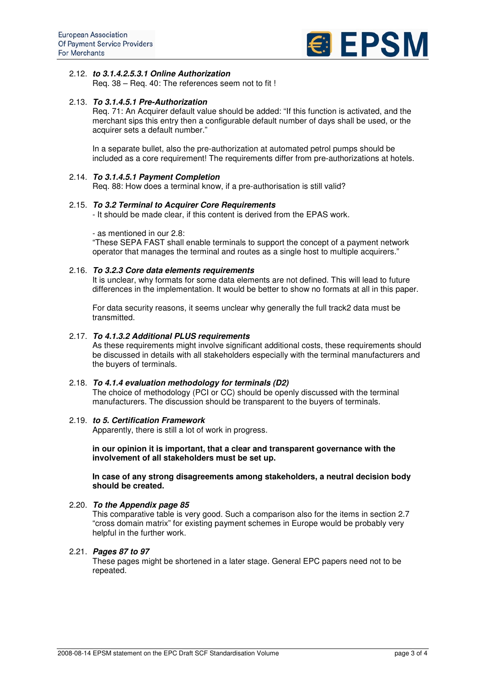

## 2.12. *to 3.1.4.2.5.3.1 Online Authorization*

Req. 38 – Req. 40: The references seem not to fit !

## 2.13. *To 3.1.4.5.1 Pre-Authorization*

Req. 71: An Acquirer default value should be added: "If this function is activated, and the merchant sips this entry then a configurable default number of days shall be used, or the acquirer sets a default number."

In a separate bullet, also the pre-authorization at automated petrol pumps should be included as a core requirement! The requirements differ from pre-authorizations at hotels.

## 2.14. *To 3.1.4.5.1 Payment Completion*

Req. 88: How does a terminal know, if a pre-authorisation is still valid?

#### 2.15. *To 3.2 Terminal to Acquirer Core Requirements*

- It should be made clear, if this content is derived from the EPAS work.

- as mentioned in our 2.8:

"These SEPA FAST shall enable terminals to support the concept of a payment network operator that manages the terminal and routes as a single host to multiple acquirers."

#### 2.16. *To 3.2.3 Core data elements requirements*

It is unclear, why formats for some data elements are not defined. This will lead to future differences in the implementation. It would be better to show no formats at all in this paper.

For data security reasons, it seems unclear why generally the full track2 data must be transmitted.

## 2.17. *To 4.1.3.2 Additional PLUS requirements*

As these requirements might involve significant additional costs, these requirements should be discussed in details with all stakeholders especially with the terminal manufacturers and the buyers of terminals.

#### 2.18. *To 4.1.4 evaluation methodology for terminals (D2)*

The choice of methodology (PCI or CC) should be openly discussed with the terminal manufacturers. The discussion should be transparent to the buyers of terminals.

#### 2.19. *to 5. Certification Framework*

Apparently, there is still a lot of work in progress.

#### **in our opinion it is important, that a clear and transparent governance with the involvement of all stakeholders must be set up.**

**In case of any strong disagreements among stakeholders, a neutral decision body should be created.**

#### 2.20. *To the Appendix page 85*

This comparative table is very good. Such a comparison also for the items in section 2.7 "cross domain matrix" for existing payment schemes in Europe would be probably very helpful in the further work.

#### 2.21. *Pages 87 to 97*

These pages might be shortened in a later stage. General EPC papers need not to be repeated.